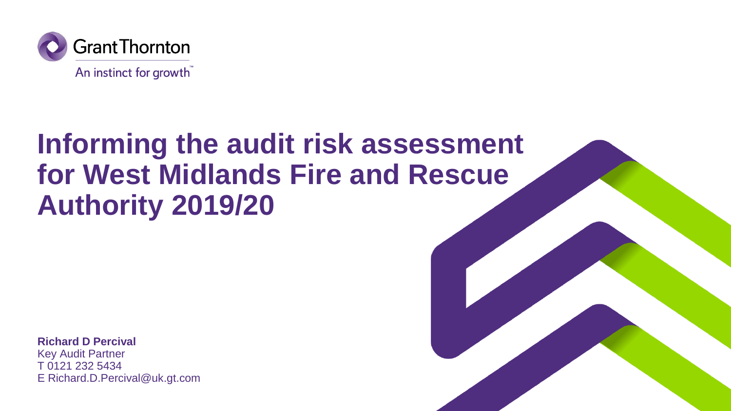

# **Informing the audit risk assessment for West Midlands Fire and Rescue Authority 2019/20**

**Richard D Percival**

Key Audit Partner T 0121 232 5434 E Richard.D.Percival@uk.gt.com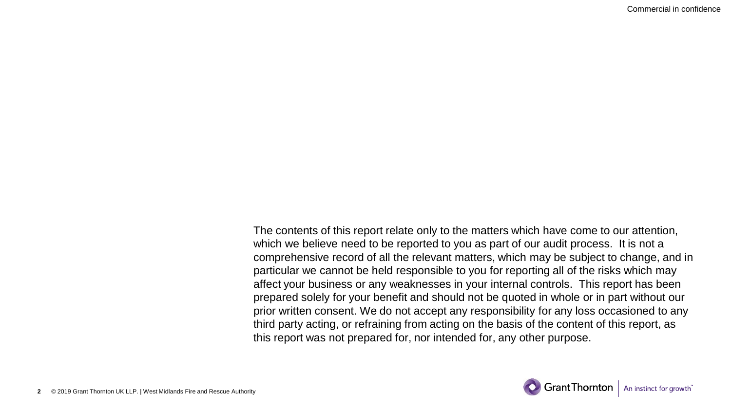Commercial in confidence

The contents of this report relate only to the matters which have come to our attention, which we believe need to be reported to you as part of our audit process. It is not a comprehensive record of all the relevant matters, which may be subject to change, and in particular we cannot be held responsible to you for reporting all of the risks which may affect your business or any weaknesses in your internal controls. This report has been prepared solely for your benefit and should not be quoted in whole or in part without our prior written consent. We do not accept any responsibility for any loss occasioned to any third party acting, or refraining from acting on the basis of the content of this report, as this report was not prepared for, nor intended for, any other purpose.

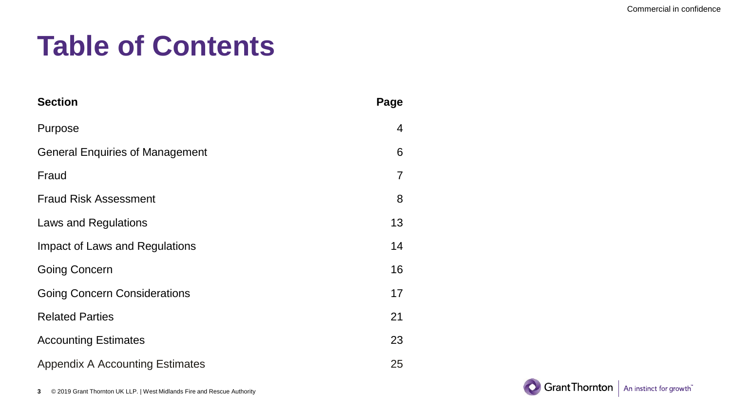# **Table of Contents**

| <b>Section</b>                         | Page           |
|----------------------------------------|----------------|
| Purpose                                | 4              |
| <b>General Enquiries of Management</b> | 6              |
| Fraud                                  | $\overline{7}$ |
| <b>Fraud Risk Assessment</b>           | 8              |
| Laws and Regulations                   | 13             |
| Impact of Laws and Regulations         | 14             |
| <b>Going Concern</b>                   | 16             |
| <b>Going Concern Considerations</b>    | 17             |
| <b>Related Parties</b>                 | 21             |
| <b>Accounting Estimates</b>            | 23             |
| <b>Appendix A Accounting Estimates</b> | 25             |

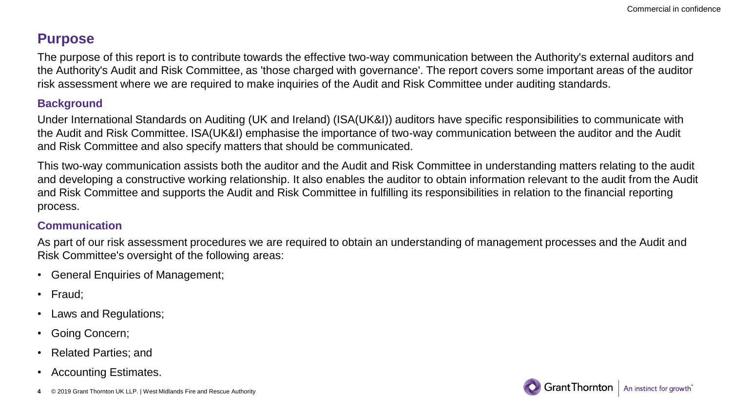### **Purpose**

The purpose of this report is to contribute towards the effective two-way communication between the Authority's external auditors and the Authority's Audit and Risk Committee, as 'those charged with governance'. The report covers some important areas of the auditor risk assessment where we are required to make inquiries of the Audit and Risk Committee under auditing standards.

#### **Background**

Under International Standards on Auditing (UK and Ireland) (ISA(UK&I)) auditors have specific responsibilities to communicate with the Audit and Risk Committee. ISA(UK&I) emphasise the importance of two-way communication between the auditor and the Audit and Risk Committee and also specify matters that should be communicated.

This two-way communication assists both the auditor and the Audit and Risk Committee in understanding matters relating to the audit and developing a constructive working relationship. It also enables the auditor to obtain information relevant to the audit from the Audit and Risk Committee and supports the Audit and Risk Committee in fulfilling its responsibilities in relation to the financial reporting process.

#### **Communication**

As part of our risk assessment procedures we are required to obtain an understanding of management processes and the Audit and Risk Committee's oversight of the following areas:

- General Enquiries of Management;
- Fraud;
- Laws and Regulations;
- Going Concern;
- Related Parties; and
- Accounting Estimates.
- © 2019 Grant Thornton UK LLP. | West Midlands Fire and Rescue Authority **4**

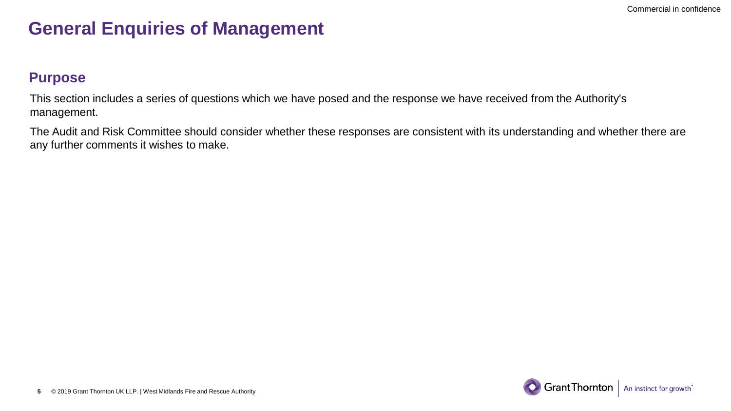## **General Enquiries of Management**

### **Purpose**

This section includes a series of questions which we have posed and the response we have received from the Authority's management.

The Audit and Risk Committee should consider whether these responses are consistent with its understanding and whether there are any further comments it wishes to make.

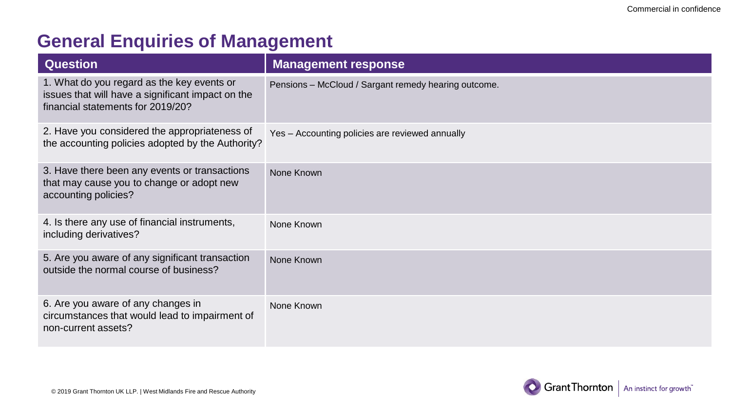## **General Enquiries of Management**

| <b>Question</b>                                                                                                                      | <b>Management response</b>                           |
|--------------------------------------------------------------------------------------------------------------------------------------|------------------------------------------------------|
| 1. What do you regard as the key events or<br>issues that will have a significant impact on the<br>financial statements for 2019/20? | Pensions - McCloud / Sargant remedy hearing outcome. |
| 2. Have you considered the appropriateness of<br>the accounting policies adopted by the Authority?                                   | Yes - Accounting policies are reviewed annually      |
| 3. Have there been any events or transactions<br>that may cause you to change or adopt new<br>accounting policies?                   | None Known                                           |
| 4. Is there any use of financial instruments,<br>including derivatives?                                                              | None Known                                           |
| 5. Are you aware of any significant transaction<br>outside the normal course of business?                                            | None Known                                           |
| 6. Are you aware of any changes in<br>circumstances that would lead to impairment of<br>non-current assets?                          | None Known                                           |

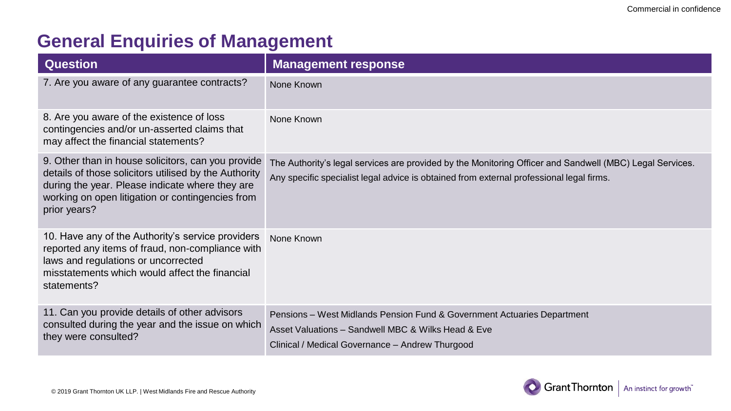# **General Enquiries of Management**

| <b>Question</b>                                                                                                                                                                                                                    | <b>Management response</b>                                                                                                                                                                           |
|------------------------------------------------------------------------------------------------------------------------------------------------------------------------------------------------------------------------------------|------------------------------------------------------------------------------------------------------------------------------------------------------------------------------------------------------|
| 7. Are you aware of any guarantee contracts?                                                                                                                                                                                       | None Known                                                                                                                                                                                           |
| 8. Are you aware of the existence of loss<br>contingencies and/or un-asserted claims that<br>may affect the financial statements?                                                                                                  | None Known                                                                                                                                                                                           |
| 9. Other than in house solicitors, can you provide<br>details of those solicitors utilised by the Authority<br>during the year. Please indicate where they are<br>working on open litigation or contingencies from<br>prior years? | The Authority's legal services are provided by the Monitoring Officer and Sandwell (MBC) Legal Services.<br>Any specific specialist legal advice is obtained from external professional legal firms. |
| 10. Have any of the Authority's service providers<br>reported any items of fraud, non-compliance with<br>laws and regulations or uncorrected<br>misstatements which would affect the financial<br>statements?                      | None Known                                                                                                                                                                                           |
| 11. Can you provide details of other advisors<br>consulted during the year and the issue on which<br>they were consulted?                                                                                                          | Pensions – West Midlands Pension Fund & Government Actuaries Department<br>Asset Valuations - Sandwell MBC & Wilks Head & Eve<br>Clinical / Medical Governance - Andrew Thurgood                     |

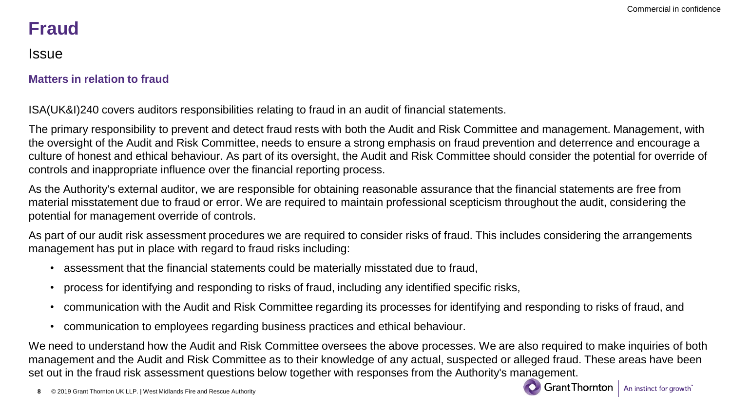# **Fraud**

Issue

#### **Matters in relation to fraud**

ISA(UK&I)240 covers auditors responsibilities relating to fraud in an audit of financial statements.

The primary responsibility to prevent and detect fraud rests with both the Audit and Risk Committee and management. Management, with the oversight of the Audit and Risk Committee, needs to ensure a strong emphasis on fraud prevention and deterrence and encourage a culture of honest and ethical behaviour. As part of its oversight, the Audit and Risk Committee should consider the potential for override of controls and inappropriate influence over the financial reporting process.

As the Authority's external auditor, we are responsible for obtaining reasonable assurance that the financial statements are free from material misstatement due to fraud or error. We are required to maintain professional scepticism throughout the audit, considering the potential for management override of controls.

As part of our audit risk assessment procedures we are required to consider risks of fraud. This includes considering the arrangements management has put in place with regard to fraud risks including:

- assessment that the financial statements could be materially misstated due to fraud,
- process for identifying and responding to risks of fraud, including any identified specific risks,
- communication with the Audit and Risk Committee regarding its processes for identifying and responding to risks of fraud, and
- communication to employees regarding business practices and ethical behaviour.

We need to understand how the Audit and Risk Committee oversees the above processes. We are also required to make inquiries of both management and the Audit and Risk Committee as to their knowledge of any actual, suspected or alleged fraud. These areas have been set out in the fraud risk assessment questions below together with responses from the Authority's management.

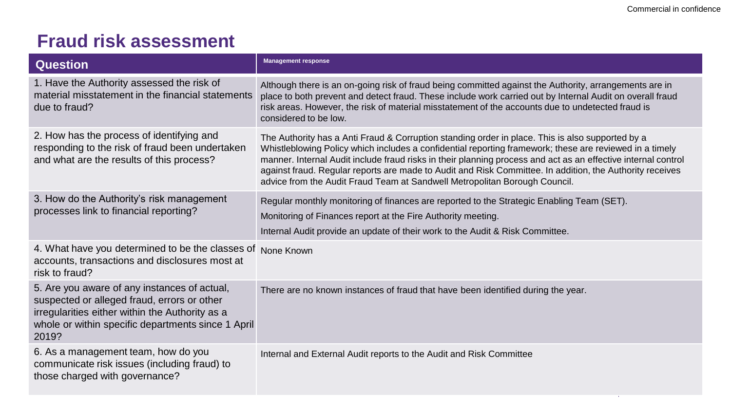n.

| <b>Question</b>                                                                                                                                                                                               | <b>Management response</b>                                                                                                                                                                                                                                                                                                                                                                                                                                                                                             |
|---------------------------------------------------------------------------------------------------------------------------------------------------------------------------------------------------------------|------------------------------------------------------------------------------------------------------------------------------------------------------------------------------------------------------------------------------------------------------------------------------------------------------------------------------------------------------------------------------------------------------------------------------------------------------------------------------------------------------------------------|
| 1. Have the Authority assessed the risk of<br>material misstatement in the financial statements<br>due to fraud?                                                                                              | Although there is an on-going risk of fraud being committed against the Authority, arrangements are in<br>place to both prevent and detect fraud. These include work carried out by Internal Audit on overall fraud<br>risk areas. However, the risk of material misstatement of the accounts due to undetected fraud is<br>considered to be low.                                                                                                                                                                      |
| 2. How has the process of identifying and<br>responding to the risk of fraud been undertaken<br>and what are the results of this process?                                                                     | The Authority has a Anti Fraud & Corruption standing order in place. This is also supported by a<br>Whistleblowing Policy which includes a confidential reporting framework; these are reviewed in a timely<br>manner. Internal Audit include fraud risks in their planning process and act as an effective internal control<br>against fraud. Regular reports are made to Audit and Risk Committee. In addition, the Authority receives<br>advice from the Audit Fraud Team at Sandwell Metropolitan Borough Council. |
| 3. How do the Authority's risk management<br>processes link to financial reporting?                                                                                                                           | Regular monthly monitoring of finances are reported to the Strategic Enabling Team (SET).<br>Monitoring of Finances report at the Fire Authority meeting.<br>Internal Audit provide an update of their work to the Audit & Risk Committee.                                                                                                                                                                                                                                                                             |
| 4. What have you determined to be the classes of None Known<br>accounts, transactions and disclosures most at<br>risk to fraud?                                                                               |                                                                                                                                                                                                                                                                                                                                                                                                                                                                                                                        |
| 5. Are you aware of any instances of actual,<br>suspected or alleged fraud, errors or other<br>irregularities either within the Authority as a<br>whole or within specific departments since 1 April<br>2019? | There are no known instances of fraud that have been identified during the year.                                                                                                                                                                                                                                                                                                                                                                                                                                       |
| 6. As a management team, how do you<br>communicate risk issues (including fraud) to<br>those charged with governance?                                                                                         | Internal and External Audit reports to the Audit and Risk Committee                                                                                                                                                                                                                                                                                                                                                                                                                                                    |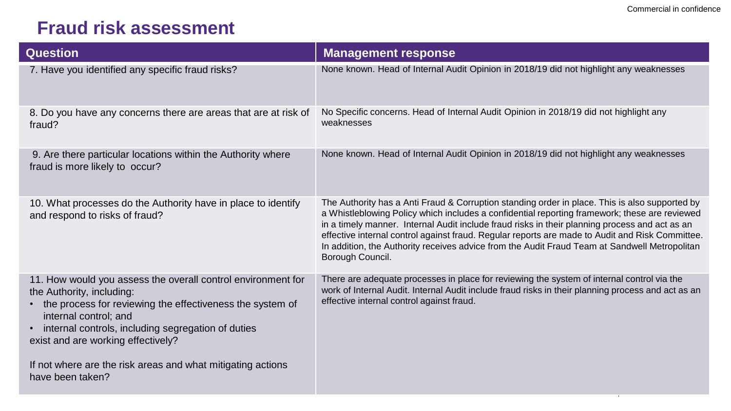| <b>Question</b>                                                                                                                                                                                                                                                             | <b>Management response</b>                                                                                                                                                                                                                                                                                                                                                                                                                                                                                                |
|-----------------------------------------------------------------------------------------------------------------------------------------------------------------------------------------------------------------------------------------------------------------------------|---------------------------------------------------------------------------------------------------------------------------------------------------------------------------------------------------------------------------------------------------------------------------------------------------------------------------------------------------------------------------------------------------------------------------------------------------------------------------------------------------------------------------|
| 7. Have you identified any specific fraud risks?                                                                                                                                                                                                                            | None known. Head of Internal Audit Opinion in 2018/19 did not highlight any weaknesses                                                                                                                                                                                                                                                                                                                                                                                                                                    |
| 8. Do you have any concerns there are areas that are at risk of<br>fraud?                                                                                                                                                                                                   | No Specific concerns. Head of Internal Audit Opinion in 2018/19 did not highlight any<br>weaknesses                                                                                                                                                                                                                                                                                                                                                                                                                       |
| 9. Are there particular locations within the Authority where<br>fraud is more likely to occur?                                                                                                                                                                              | None known. Head of Internal Audit Opinion in 2018/19 did not highlight any weaknesses                                                                                                                                                                                                                                                                                                                                                                                                                                    |
| 10. What processes do the Authority have in place to identify<br>and respond to risks of fraud?                                                                                                                                                                             | The Authority has a Anti Fraud & Corruption standing order in place. This is also supported by<br>a Whistleblowing Policy which includes a confidential reporting framework; these are reviewed<br>in a timely manner. Internal Audit include fraud risks in their planning process and act as an<br>effective internal control against fraud. Regular reports are made to Audit and Risk Committee.<br>In addition, the Authority receives advice from the Audit Fraud Team at Sandwell Metropolitan<br>Borough Council. |
| 11. How would you assess the overall control environment for<br>the Authority, including:<br>the process for reviewing the effectiveness the system of<br>internal control; and<br>internal controls, including segregation of duties<br>exist and are working effectively? | There are adequate processes in place for reviewing the system of internal control via the<br>work of Internal Audit. Internal Audit include fraud risks in their planning process and act as an<br>effective internal control against fraud.                                                                                                                                                                                                                                                                             |
| If not where are the risk areas and what mitigating actions<br>have been taken?                                                                                                                                                                                             |                                                                                                                                                                                                                                                                                                                                                                                                                                                                                                                           |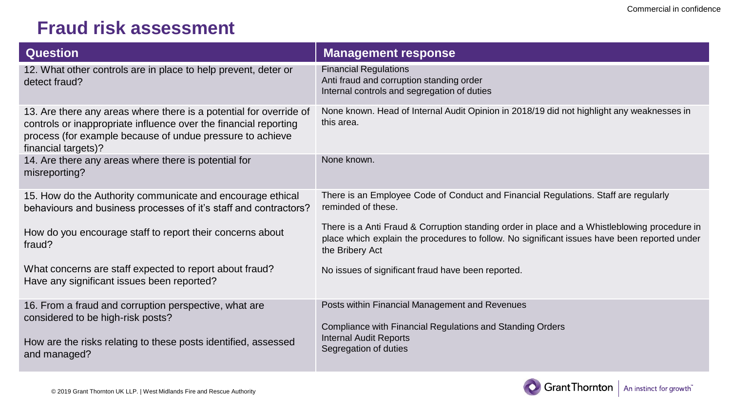| <b>Question</b>                                                                                                                                                                                                            | <b>Management response</b>                                                                                                                                                                                      |
|----------------------------------------------------------------------------------------------------------------------------------------------------------------------------------------------------------------------------|-----------------------------------------------------------------------------------------------------------------------------------------------------------------------------------------------------------------|
| 12. What other controls are in place to help prevent, deter or<br>detect fraud?                                                                                                                                            | <b>Financial Regulations</b><br>Anti fraud and corruption standing order<br>Internal controls and segregation of duties                                                                                         |
| 13. Are there any areas where there is a potential for override of<br>controls or inappropriate influence over the financial reporting<br>process (for example because of undue pressure to achieve<br>financial targets)? | None known. Head of Internal Audit Opinion in 2018/19 did not highlight any weaknesses in<br>this area.                                                                                                         |
| 14. Are there any areas where there is potential for<br>misreporting?                                                                                                                                                      | None known.                                                                                                                                                                                                     |
| 15. How do the Authority communicate and encourage ethical<br>behaviours and business processes of it's staff and contractors?                                                                                             | There is an Employee Code of Conduct and Financial Regulations. Staff are regularly<br>reminded of these.                                                                                                       |
| How do you encourage staff to report their concerns about<br>fraud?                                                                                                                                                        | There is a Anti Fraud & Corruption standing order in place and a Whistleblowing procedure in<br>place which explain the procedures to follow. No significant issues have been reported under<br>the Bribery Act |
| What concerns are staff expected to report about fraud?<br>Have any significant issues been reported?                                                                                                                      | No issues of significant fraud have been reported.                                                                                                                                                              |
| 16. From a fraud and corruption perspective, what are<br>considered to be high-risk posts?<br>How are the risks relating to these posts identified, assessed<br>and managed?                                               | Posts within Financial Management and Revenues<br>Compliance with Financial Regulations and Standing Orders<br><b>Internal Audit Reports</b><br>Segregation of duties                                           |

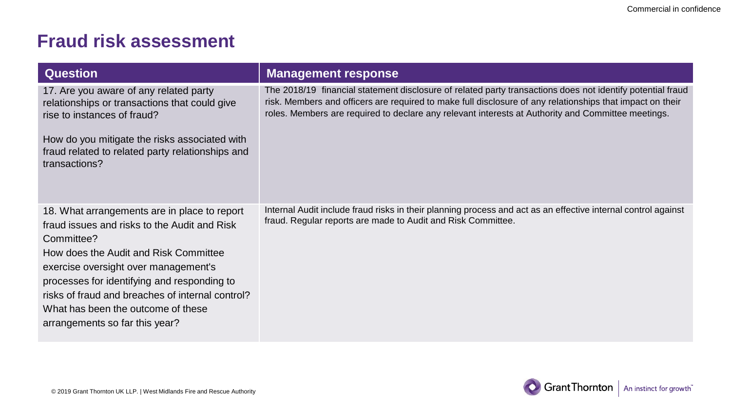| <b>Question</b>                                                                                                                                                                                                                                                                                                                                                        | <b>Management response</b>                                                                                                                                                                                                                                                                                                    |
|------------------------------------------------------------------------------------------------------------------------------------------------------------------------------------------------------------------------------------------------------------------------------------------------------------------------------------------------------------------------|-------------------------------------------------------------------------------------------------------------------------------------------------------------------------------------------------------------------------------------------------------------------------------------------------------------------------------|
| 17. Are you aware of any related party<br>relationships or transactions that could give<br>rise to instances of fraud?<br>How do you mitigate the risks associated with<br>fraud related to related party relationships and<br>transactions?                                                                                                                           | The 2018/19 financial statement disclosure of related party transactions does not identify potential fraud<br>risk. Members and officers are required to make full disclosure of any relationships that impact on their<br>roles. Members are required to declare any relevant interests at Authority and Committee meetings. |
| 18. What arrangements are in place to report<br>fraud issues and risks to the Audit and Risk<br>Committee?<br>How does the Audit and Risk Committee<br>exercise oversight over management's<br>processes for identifying and responding to<br>risks of fraud and breaches of internal control?<br>What has been the outcome of these<br>arrangements so far this year? | Internal Audit include fraud risks in their planning process and act as an effective internal control against<br>fraud. Regular reports are made to Audit and Risk Committee.                                                                                                                                                 |

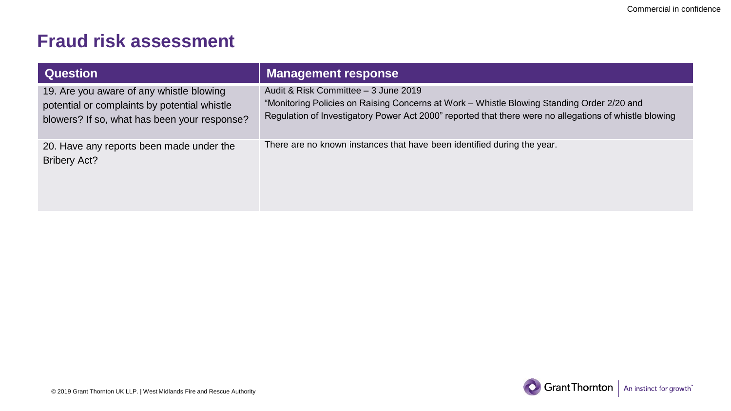| <b>Question</b>                                                                                                                          | <b>Management response</b>                                                                                                                                                                                                                   |
|------------------------------------------------------------------------------------------------------------------------------------------|----------------------------------------------------------------------------------------------------------------------------------------------------------------------------------------------------------------------------------------------|
| 19. Are you aware of any whistle blowing<br>potential or complaints by potential whistle<br>blowers? If so, what has been your response? | Audit & Risk Committee - 3 June 2019<br>"Monitoring Policies on Raising Concerns at Work - Whistle Blowing Standing Order 2/20 and<br>Regulation of Investigatory Power Act 2000" reported that there were no allegations of whistle blowing |
| 20. Have any reports been made under the<br><b>Bribery Act?</b>                                                                          | There are no known instances that have been identified during the year.                                                                                                                                                                      |

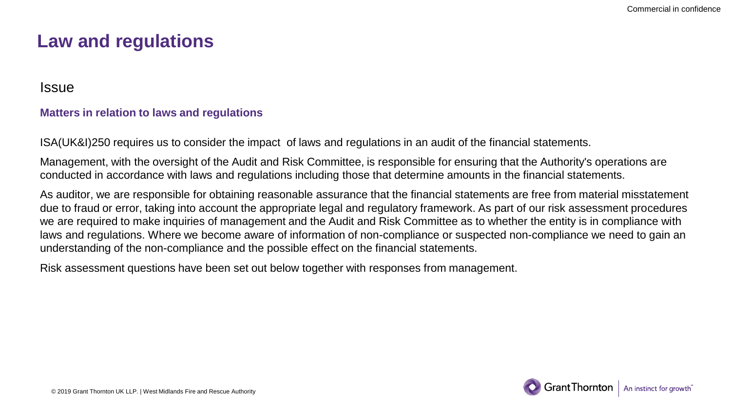## **Law and regulations**

Issue

#### **Matters in relation to laws and regulations**

ISA(UK&I)250 requires us to consider the impact of laws and regulations in an audit of the financial statements.

Management, with the oversight of the Audit and Risk Committee, is responsible for ensuring that the Authority's operations are conducted in accordance with laws and regulations including those that determine amounts in the financial statements.

As auditor, we are responsible for obtaining reasonable assurance that the financial statements are free from material misstatement due to fraud or error, taking into account the appropriate legal and regulatory framework. As part of our risk assessment procedures we are required to make inquiries of management and the Audit and Risk Committee as to whether the entity is in compliance with laws and regulations. Where we become aware of information of non-compliance or suspected non-compliance we need to gain an understanding of the non-compliance and the possible effect on the financial statements.

Risk assessment questions have been set out below together with responses from management.

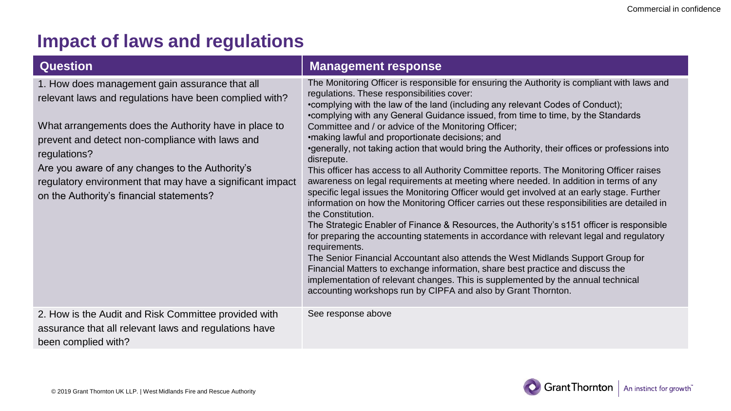| <b>Question</b>                                                                                                                                                                                                                                                                                                                                                                                  | <b>Management response</b>                                                                                                                                                                                                                                                                                                                                                                                                                                                                                                                                                                                                                                                                                                                                                                                                                                                                                                                                                                                                                                                                                                                                                                                                                                                                                                                                                                                                                                                               |
|--------------------------------------------------------------------------------------------------------------------------------------------------------------------------------------------------------------------------------------------------------------------------------------------------------------------------------------------------------------------------------------------------|------------------------------------------------------------------------------------------------------------------------------------------------------------------------------------------------------------------------------------------------------------------------------------------------------------------------------------------------------------------------------------------------------------------------------------------------------------------------------------------------------------------------------------------------------------------------------------------------------------------------------------------------------------------------------------------------------------------------------------------------------------------------------------------------------------------------------------------------------------------------------------------------------------------------------------------------------------------------------------------------------------------------------------------------------------------------------------------------------------------------------------------------------------------------------------------------------------------------------------------------------------------------------------------------------------------------------------------------------------------------------------------------------------------------------------------------------------------------------------------|
| 1. How does management gain assurance that all<br>relevant laws and regulations have been complied with?<br>What arrangements does the Authority have in place to<br>prevent and detect non-compliance with laws and<br>regulations?<br>Are you aware of any changes to the Authority's<br>regulatory environment that may have a significant impact<br>on the Authority's financial statements? | The Monitoring Officer is responsible for ensuring the Authority is compliant with laws and<br>regulations. These responsibilities cover:<br>•complying with the law of the land (including any relevant Codes of Conduct);<br>•complying with any General Guidance issued, from time to time, by the Standards<br>Committee and / or advice of the Monitoring Officer;<br>•making lawful and proportionate decisions; and<br>•generally, not taking action that would bring the Authority, their offices or professions into<br>disrepute.<br>This officer has access to all Authority Committee reports. The Monitoring Officer raises<br>awareness on legal requirements at meeting where needed. In addition in terms of any<br>specific legal issues the Monitoring Officer would get involved at an early stage. Further<br>information on how the Monitoring Officer carries out these responsibilities are detailed in<br>the Constitution.<br>The Strategic Enabler of Finance & Resources, the Authority's s151 officer is responsible<br>for preparing the accounting statements in accordance with relevant legal and regulatory<br>requirements.<br>The Senior Financial Accountant also attends the West Midlands Support Group for<br>Financial Matters to exchange information, share best practice and discuss the<br>implementation of relevant changes. This is supplemented by the annual technical<br>accounting workshops run by CIPFA and also by Grant Thornton. |
| 2. How is the Audit and Risk Committee provided with<br>assurance that all relevant laws and regulations have<br>been complied with?                                                                                                                                                                                                                                                             | See response above                                                                                                                                                                                                                                                                                                                                                                                                                                                                                                                                                                                                                                                                                                                                                                                                                                                                                                                                                                                                                                                                                                                                                                                                                                                                                                                                                                                                                                                                       |

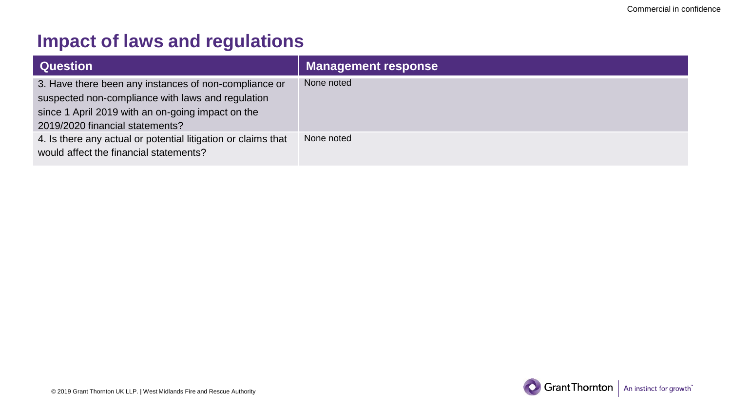| <b>Question</b>                                                                                                                                                                                    | <b>Management response</b> |
|----------------------------------------------------------------------------------------------------------------------------------------------------------------------------------------------------|----------------------------|
| 3. Have there been any instances of non-compliance or<br>suspected non-compliance with laws and regulation<br>since 1 April 2019 with an on-going impact on the<br>2019/2020 financial statements? | None noted                 |
| 4. Is there any actual or potential litigation or claims that<br>would affect the financial statements?                                                                                            | None noted                 |

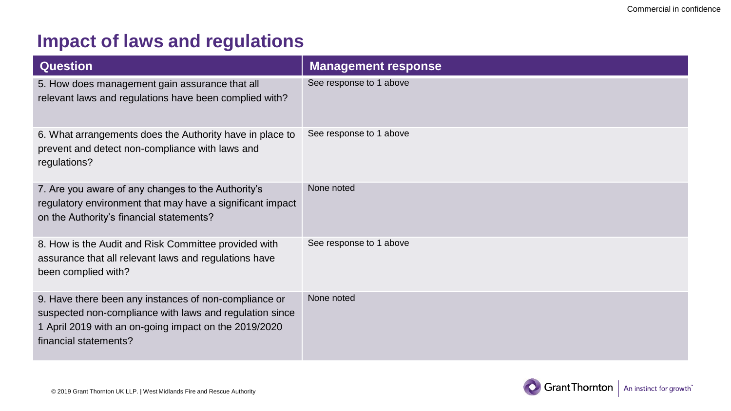| <b>Question</b>                                                                                                                                                                                    | <b>Management response</b> |
|----------------------------------------------------------------------------------------------------------------------------------------------------------------------------------------------------|----------------------------|
| 5. How does management gain assurance that all<br>relevant laws and regulations have been complied with?                                                                                           | See response to 1 above    |
| 6. What arrangements does the Authority have in place to<br>prevent and detect non-compliance with laws and<br>regulations?                                                                        | See response to 1 above    |
| 7. Are you aware of any changes to the Authority's<br>regulatory environment that may have a significant impact<br>on the Authority's financial statements?                                        | None noted                 |
| 8. How is the Audit and Risk Committee provided with<br>assurance that all relevant laws and regulations have<br>been complied with?                                                               | See response to 1 above    |
| 9. Have there been any instances of non-compliance or<br>suspected non-compliance with laws and regulation since<br>1 April 2019 with an on-going impact on the 2019/2020<br>financial statements? | None noted                 |

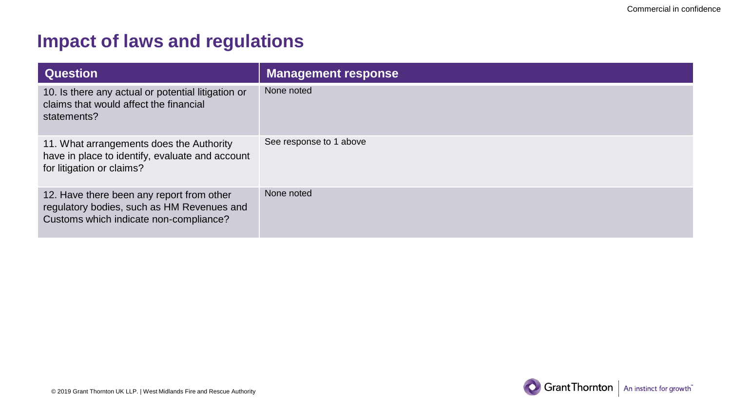| <b>Question</b>                                                                                                                   | <b>Management response</b> |
|-----------------------------------------------------------------------------------------------------------------------------------|----------------------------|
| 10. Is there any actual or potential litigation or<br>claims that would affect the financial<br>statements?                       | None noted                 |
| 11. What arrangements does the Authority<br>have in place to identify, evaluate and account<br>for litigation or claims?          | See response to 1 above    |
| 12. Have there been any report from other<br>regulatory bodies, such as HM Revenues and<br>Customs which indicate non-compliance? | None noted                 |

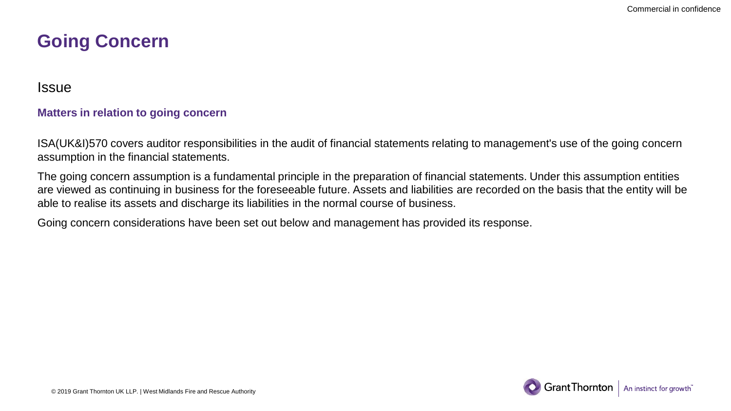## **Going Concern**

Issue

#### **Matters in relation to going concern**

ISA(UK&I)570 covers auditor responsibilities in the audit of financial statements relating to management's use of the going concern assumption in the financial statements.

The going concern assumption is a fundamental principle in the preparation of financial statements. Under this assumption entities are viewed as continuing in business for the foreseeable future. Assets and liabilities are recorded on the basis that the entity will be able to realise its assets and discharge its liabilities in the normal course of business.

Going concern considerations have been set out below and management has provided its response.

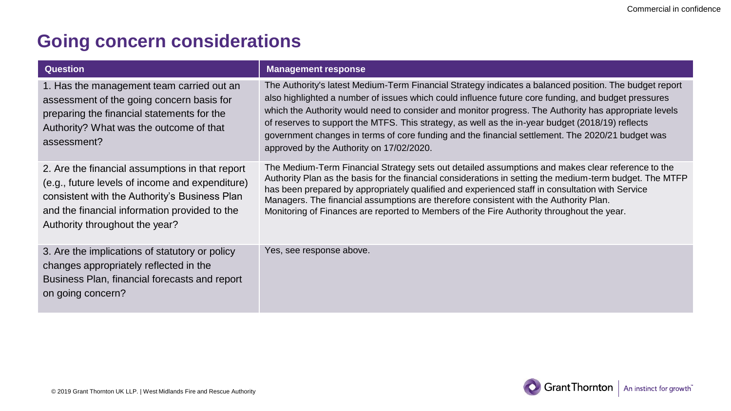## **Going concern considerations**

| <b>Question</b>                                                                                                                                                                                                                        | <b>Management response</b>                                                                                                                                                                                                                                                                                                                                                                                                                                                                                                                                                 |
|----------------------------------------------------------------------------------------------------------------------------------------------------------------------------------------------------------------------------------------|----------------------------------------------------------------------------------------------------------------------------------------------------------------------------------------------------------------------------------------------------------------------------------------------------------------------------------------------------------------------------------------------------------------------------------------------------------------------------------------------------------------------------------------------------------------------------|
| 1. Has the management team carried out an<br>assessment of the going concern basis for<br>preparing the financial statements for the<br>Authority? What was the outcome of that<br>assessment?                                         | The Authority's latest Medium-Term Financial Strategy indicates a balanced position. The budget report<br>also highlighted a number of issues which could influence future core funding, and budget pressures<br>which the Authority would need to consider and monitor progress. The Authority has appropriate levels<br>of reserves to support the MTFS. This strategy, as well as the in-year budget (2018/19) reflects<br>government changes in terms of core funding and the financial settlement. The 2020/21 budget was<br>approved by the Authority on 17/02/2020. |
| 2. Are the financial assumptions in that report<br>(e.g., future levels of income and expenditure)<br>consistent with the Authority's Business Plan<br>and the financial information provided to the<br>Authority throughout the year? | The Medium-Term Financial Strategy sets out detailed assumptions and makes clear reference to the<br>Authority Plan as the basis for the financial considerations in setting the medium-term budget. The MTFP<br>has been prepared by appropriately qualified and experienced staff in consultation with Service<br>Managers. The financial assumptions are therefore consistent with the Authority Plan.<br>Monitoring of Finances are reported to Members of the Fire Authority throughout the year.                                                                     |
| 3. Are the implications of statutory or policy<br>changes appropriately reflected in the<br>Business Plan, financial forecasts and report<br>on going concern?                                                                         | Yes, see response above.                                                                                                                                                                                                                                                                                                                                                                                                                                                                                                                                                   |

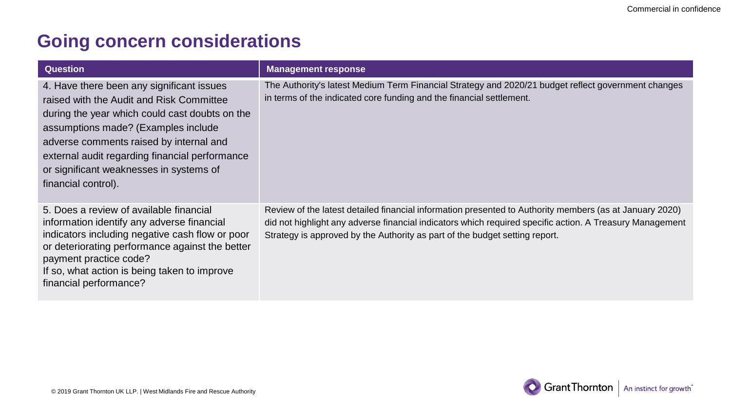## **Going concern considerations**

| <b>Question</b>                                                                                                                                                                                                                                                                                                                               | <b>Management response</b>                                                                                                                                                                                                                                                                         |
|-----------------------------------------------------------------------------------------------------------------------------------------------------------------------------------------------------------------------------------------------------------------------------------------------------------------------------------------------|----------------------------------------------------------------------------------------------------------------------------------------------------------------------------------------------------------------------------------------------------------------------------------------------------|
| 4. Have there been any significant issues<br>raised with the Audit and Risk Committee<br>during the year which could cast doubts on the<br>assumptions made? (Examples include<br>adverse comments raised by internal and<br>external audit regarding financial performance<br>or significant weaknesses in systems of<br>financial control). | The Authority's latest Medium Term Financial Strategy and 2020/21 budget reflect government changes<br>in terms of the indicated core funding and the financial settlement.                                                                                                                        |
| 5. Does a review of available financial<br>information identify any adverse financial<br>indicators including negative cash flow or poor<br>or deteriorating performance against the better<br>payment practice code?<br>If so, what action is being taken to improve<br>financial performance?                                               | Review of the latest detailed financial information presented to Authority members (as at January 2020)<br>did not highlight any adverse financial indicators which required specific action. A Treasury Management<br>Strategy is approved by the Authority as part of the budget setting report. |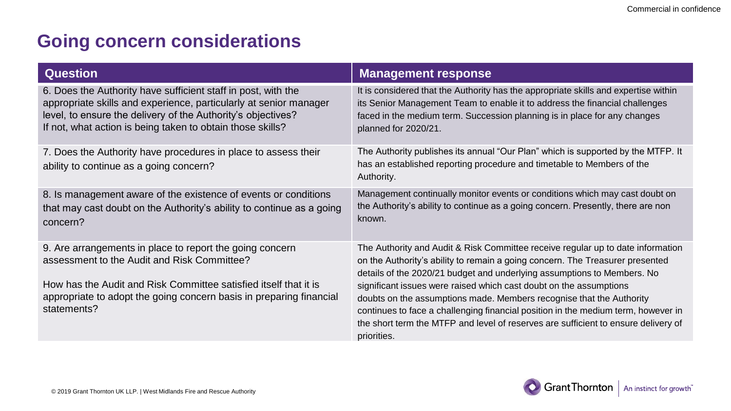## **Going concern considerations**

| <b>Question</b>                                                                                                                                                                                                                                                   | <b>Management response</b>                                                                                                                                                                                                                                                                                                                                                                                                                                                                                                                                                          |
|-------------------------------------------------------------------------------------------------------------------------------------------------------------------------------------------------------------------------------------------------------------------|-------------------------------------------------------------------------------------------------------------------------------------------------------------------------------------------------------------------------------------------------------------------------------------------------------------------------------------------------------------------------------------------------------------------------------------------------------------------------------------------------------------------------------------------------------------------------------------|
| 6. Does the Authority have sufficient staff in post, with the<br>appropriate skills and experience, particularly at senior manager<br>level, to ensure the delivery of the Authority's objectives?<br>If not, what action is being taken to obtain those skills?  | It is considered that the Authority has the appropriate skills and expertise within<br>its Senior Management Team to enable it to address the financial challenges<br>faced in the medium term. Succession planning is in place for any changes<br>planned for 2020/21.                                                                                                                                                                                                                                                                                                             |
| 7. Does the Authority have procedures in place to assess their<br>ability to continue as a going concern?                                                                                                                                                         | The Authority publishes its annual "Our Plan" which is supported by the MTFP. It<br>has an established reporting procedure and timetable to Members of the<br>Authority.                                                                                                                                                                                                                                                                                                                                                                                                            |
| 8. Is management aware of the existence of events or conditions<br>that may cast doubt on the Authority's ability to continue as a going<br>concern?                                                                                                              | Management continually monitor events or conditions which may cast doubt on<br>the Authority's ability to continue as a going concern. Presently, there are non<br>known.                                                                                                                                                                                                                                                                                                                                                                                                           |
| 9. Are arrangements in place to report the going concern<br>assessment to the Audit and Risk Committee?<br>How has the Audit and Risk Committee satisfied itself that it is<br>appropriate to adopt the going concern basis in preparing financial<br>statements? | The Authority and Audit & Risk Committee receive regular up to date information<br>on the Authority's ability to remain a going concern. The Treasurer presented<br>details of the 2020/21 budget and underlying assumptions to Members. No<br>significant issues were raised which cast doubt on the assumptions<br>doubts on the assumptions made. Members recognise that the Authority<br>continues to face a challenging financial position in the medium term, however in<br>the short term the MTFP and level of reserves are sufficient to ensure delivery of<br>priorities. |

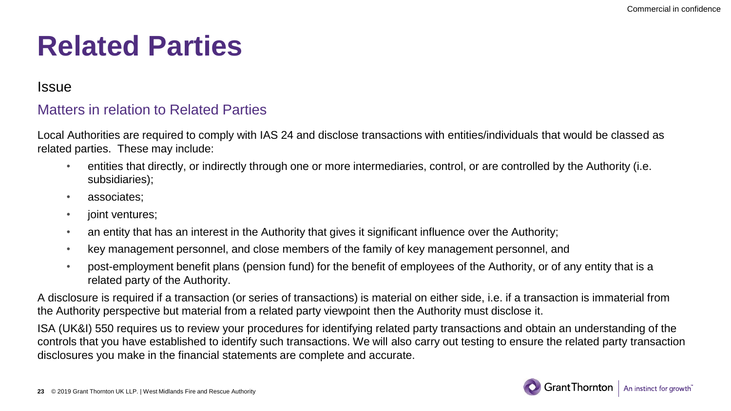# **Related Parties**

#### Issue

### Matters in relation to Related Parties

Local Authorities are required to comply with IAS 24 and disclose transactions with entities/individuals that would be classed as related parties. These may include:

- entities that directly, or indirectly through one or more intermediaries, control, or are controlled by the Authority (i.e. subsidiaries);
- associates;
- joint ventures;
- an entity that has an interest in the Authority that gives it significant influence over the Authority;
- key management personnel, and close members of the family of key management personnel, and
- post-employment benefit plans (pension fund) for the benefit of employees of the Authority, or of any entity that is a related party of the Authority.

A disclosure is required if a transaction (or series of transactions) is material on either side, i.e. if a transaction is immaterial from the Authority perspective but material from a related party viewpoint then the Authority must disclose it.

ISA (UK&I) 550 requires us to review your procedures for identifying related party transactions and obtain an understanding of the controls that you have established to identify such transactions. We will also carry out testing to ensure the related party transaction disclosures you make in the financial statements are complete and accurate.

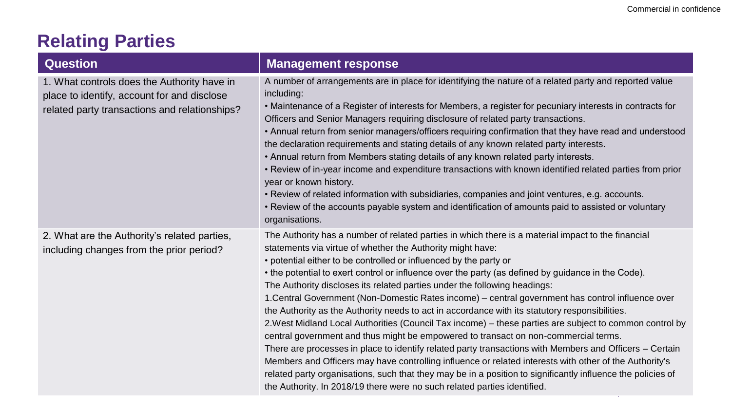# **Relating Parties**

| <b>Question</b>                                                                                                                             | <b>Management response</b>                                                                                                                                                                                                                                                                                                                                                                                                                                                                                                                                                                                                                                                                                                                                                                                                                                                                                                                                                                                                                                                                                                                                                                                                                        |
|---------------------------------------------------------------------------------------------------------------------------------------------|---------------------------------------------------------------------------------------------------------------------------------------------------------------------------------------------------------------------------------------------------------------------------------------------------------------------------------------------------------------------------------------------------------------------------------------------------------------------------------------------------------------------------------------------------------------------------------------------------------------------------------------------------------------------------------------------------------------------------------------------------------------------------------------------------------------------------------------------------------------------------------------------------------------------------------------------------------------------------------------------------------------------------------------------------------------------------------------------------------------------------------------------------------------------------------------------------------------------------------------------------|
| 1. What controls does the Authority have in<br>place to identify, account for and disclose<br>related party transactions and relationships? | A number of arrangements are in place for identifying the nature of a related party and reported value<br>including:<br>• Maintenance of a Register of interests for Members, a register for pecuniary interests in contracts for<br>Officers and Senior Managers requiring disclosure of related party transactions.<br>• Annual return from senior managers/officers requiring confirmation that they have read and understood<br>the declaration requirements and stating details of any known related party interests.<br>. Annual return from Members stating details of any known related party interests.<br>• Review of in-year income and expenditure transactions with known identified related parties from prior<br>year or known history.<br>• Review of related information with subsidiaries, companies and joint ventures, e.g. accounts.<br>• Review of the accounts payable system and identification of amounts paid to assisted or voluntary<br>organisations.                                                                                                                                                                                                                                                                |
| 2. What are the Authority's related parties,<br>including changes from the prior period?                                                    | The Authority has a number of related parties in which there is a material impact to the financial<br>statements via virtue of whether the Authority might have:<br>• potential either to be controlled or influenced by the party or<br>• the potential to exert control or influence over the party (as defined by guidance in the Code).<br>The Authority discloses its related parties under the following headings:<br>1. Central Government (Non-Domestic Rates income) - central government has control influence over<br>the Authority as the Authority needs to act in accordance with its statutory responsibilities.<br>2. West Midland Local Authorities (Council Tax income) - these parties are subject to common control by<br>central government and thus might be empowered to transact on non-commercial terms.<br>There are processes in place to identify related party transactions with Members and Officers - Certain<br>Members and Officers may have controlling influence or related interests with other of the Authority's<br>related party organisations, such that they may be in a position to significantly influence the policies of<br>the Authority. In 2018/19 there were no such related parties identified. |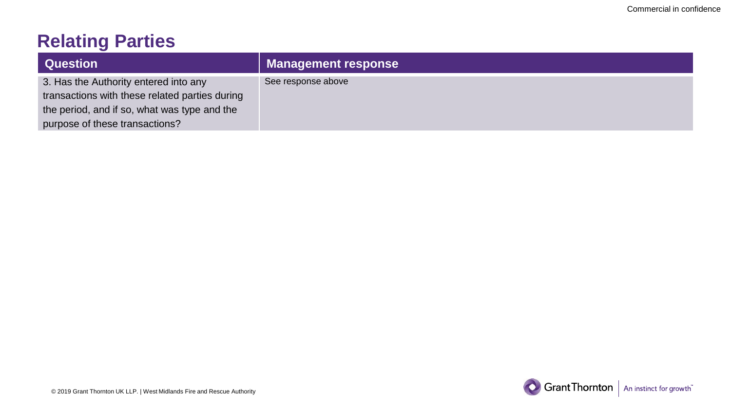# **Relating Parties**

| <b>Question</b>                                | <b>Management response</b> |
|------------------------------------------------|----------------------------|
| 3. Has the Authority entered into any          | See response above         |
| transactions with these related parties during |                            |
| the period, and if so, what was type and the   |                            |
| purpose of these transactions?                 |                            |

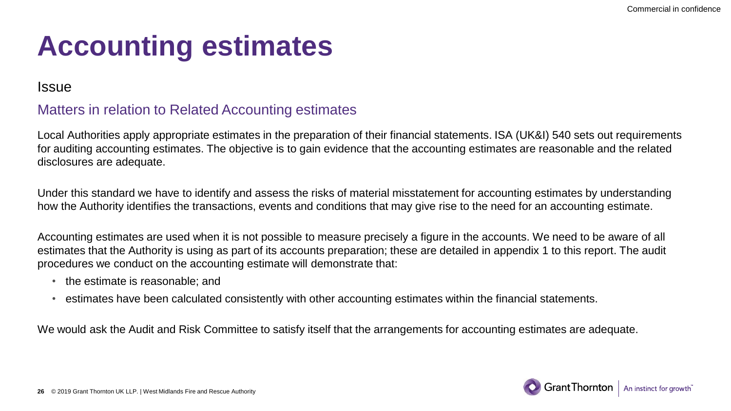# **Accounting estimates**

#### Issue

## Matters in relation to Related Accounting estimates

Local Authorities apply appropriate estimates in the preparation of their financial statements. ISA (UK&I) 540 sets out requirements for auditing accounting estimates. The objective is to gain evidence that the accounting estimates are reasonable and the related disclosures are adequate.

Under this standard we have to identify and assess the risks of material misstatement for accounting estimates by understanding how the Authority identifies the transactions, events and conditions that may give rise to the need for an accounting estimate.

Accounting estimates are used when it is not possible to measure precisely a figure in the accounts. We need to be aware of all estimates that the Authority is using as part of its accounts preparation; these are detailed in appendix 1 to this report. The audit procedures we conduct on the accounting estimate will demonstrate that:

- the estimate is reasonable; and
- estimates have been calculated consistently with other accounting estimates within the financial statements.

We would ask the Audit and Risk Committee to satisfy itself that the arrangements for accounting estimates are adequate.

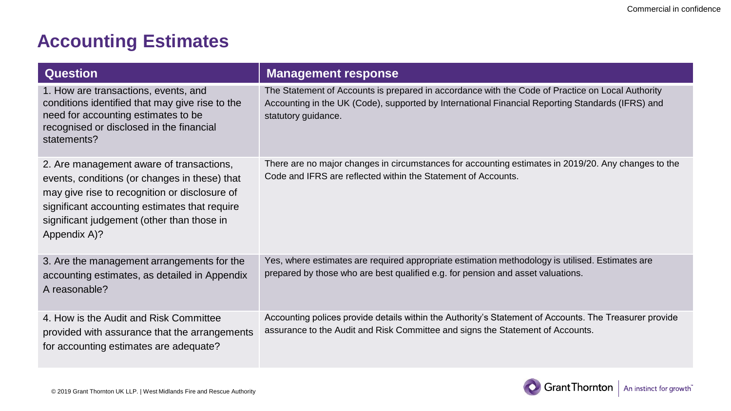## **Accounting Estimates**

| <b>Question</b>                                                                                                                                                                                                                                           | <b>Management response</b>                                                                                                                                                                                                  |
|-----------------------------------------------------------------------------------------------------------------------------------------------------------------------------------------------------------------------------------------------------------|-----------------------------------------------------------------------------------------------------------------------------------------------------------------------------------------------------------------------------|
| 1. How are transactions, events, and<br>conditions identified that may give rise to the<br>need for accounting estimates to be<br>recognised or disclosed in the financial<br>statements?                                                                 | The Statement of Accounts is prepared in accordance with the Code of Practice on Local Authority<br>Accounting in the UK (Code), supported by International Financial Reporting Standards (IFRS) and<br>statutory guidance. |
| 2. Are management aware of transactions,<br>events, conditions (or changes in these) that<br>may give rise to recognition or disclosure of<br>significant accounting estimates that require<br>significant judgement (other than those in<br>Appendix A)? | There are no major changes in circumstances for accounting estimates in 2019/20. Any changes to the<br>Code and IFRS are reflected within the Statement of Accounts.                                                        |
| 3. Are the management arrangements for the<br>accounting estimates, as detailed in Appendix<br>A reasonable?                                                                                                                                              | Yes, where estimates are required appropriate estimation methodology is utilised. Estimates are<br>prepared by those who are best qualified e.g. for pension and asset valuations.                                          |
| 4. How is the Audit and Risk Committee<br>provided with assurance that the arrangements<br>for accounting estimates are adequate?                                                                                                                         | Accounting polices provide details within the Authority's Statement of Accounts. The Treasurer provide<br>assurance to the Audit and Risk Committee and signs the Statement of Accounts.                                    |

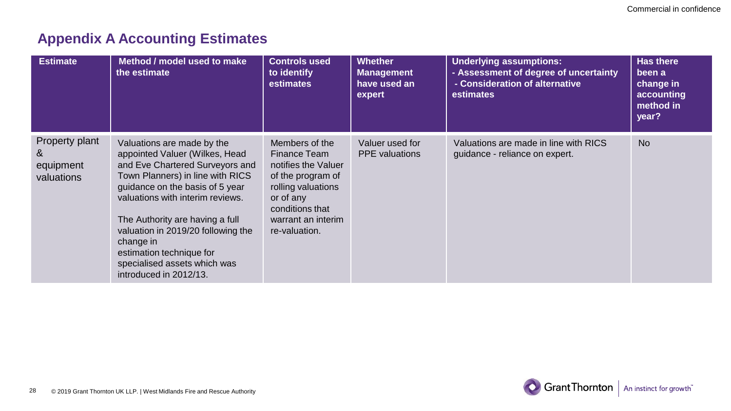## **Appendix A Accounting Estimates**

| <b>Estimate</b>                                | Method / model used to make<br>the estimate                                                                                                                                                                                                                                                                                                                                            | <b>Controls used</b><br>to identify<br>estimates                                                                                                                        | <b>Whether</b><br><b>Management</b><br>have used an<br>expert | <b>Underlying assumptions:</b><br>- Assessment of degree of uncertainty<br>- Consideration of alternative<br>estimates | <b>Has there</b><br>been a<br>change in<br>accounting<br>method in<br>year? |
|------------------------------------------------|----------------------------------------------------------------------------------------------------------------------------------------------------------------------------------------------------------------------------------------------------------------------------------------------------------------------------------------------------------------------------------------|-------------------------------------------------------------------------------------------------------------------------------------------------------------------------|---------------------------------------------------------------|------------------------------------------------------------------------------------------------------------------------|-----------------------------------------------------------------------------|
| Property plant<br>&<br>equipment<br>valuations | Valuations are made by the<br>appointed Valuer (Wilkes, Head<br>and Eve Chartered Surveyors and<br>Town Planners) in line with RICS<br>quidance on the basis of 5 year<br>valuations with interim reviews.<br>The Authority are having a full<br>valuation in 2019/20 following the<br>change in<br>estimation technique for<br>specialised assets which was<br>introduced in 2012/13. | Members of the<br>Finance Team<br>notifies the Valuer<br>of the program of<br>rolling valuations<br>or of any<br>conditions that<br>warrant an interim<br>re-valuation. | Valuer used for<br><b>PPE</b> valuations                      | Valuations are made in line with RICS<br>guidance - reliance on expert.                                                | <b>No</b>                                                                   |

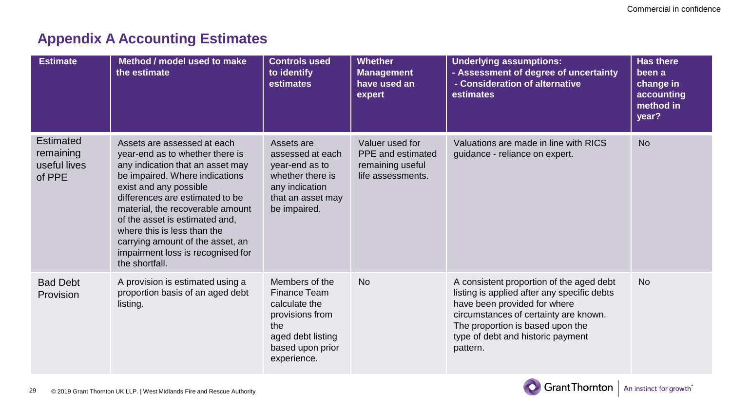## **Appendix A Accounting Estimates**

| <b>Estimate</b>                                  | Method / model used to make<br>the estimate                                                                                                                                                                                                                                                                                                                                                       | <b>Controls used</b><br>to identify<br>estimates                                                                                  | <b>Whether</b><br><b>Management</b><br>have used an<br>expert                        | <b>Underlying assumptions:</b><br>- Assessment of degree of uncertainty<br>- Consideration of alternative<br>estimates                                                                                                                                | <b>Has there</b><br>been a<br>change in<br>accounting<br>method in<br>year? |
|--------------------------------------------------|---------------------------------------------------------------------------------------------------------------------------------------------------------------------------------------------------------------------------------------------------------------------------------------------------------------------------------------------------------------------------------------------------|-----------------------------------------------------------------------------------------------------------------------------------|--------------------------------------------------------------------------------------|-------------------------------------------------------------------------------------------------------------------------------------------------------------------------------------------------------------------------------------------------------|-----------------------------------------------------------------------------|
| Estimated<br>remaining<br>useful lives<br>of PPE | Assets are assessed at each<br>year-end as to whether there is<br>any indication that an asset may<br>be impaired. Where indications<br>exist and any possible<br>differences are estimated to be<br>material, the recoverable amount<br>of the asset is estimated and,<br>where this is less than the<br>carrying amount of the asset, an<br>impairment loss is recognised for<br>the shortfall. | Assets are<br>assessed at each<br>year-end as to<br>whether there is<br>any indication<br>that an asset may<br>be impaired.       | Valuer used for<br><b>PPE</b> and estimated<br>remaining useful<br>life assessments. | Valuations are made in line with RICS<br>guidance - reliance on expert.                                                                                                                                                                               | <b>No</b>                                                                   |
| <b>Bad Debt</b><br>Provision                     | A provision is estimated using a<br>proportion basis of an aged debt<br>listing.                                                                                                                                                                                                                                                                                                                  | Members of the<br>Finance Team<br>calculate the<br>provisions from<br>the<br>aged debt listing<br>based upon prior<br>experience. | <b>No</b>                                                                            | A consistent proportion of the aged debt<br>listing is applied after any specific debts<br>have been provided for where<br>circumstances of certainty are known.<br>The proportion is based upon the<br>type of debt and historic payment<br>pattern. | No.                                                                         |



29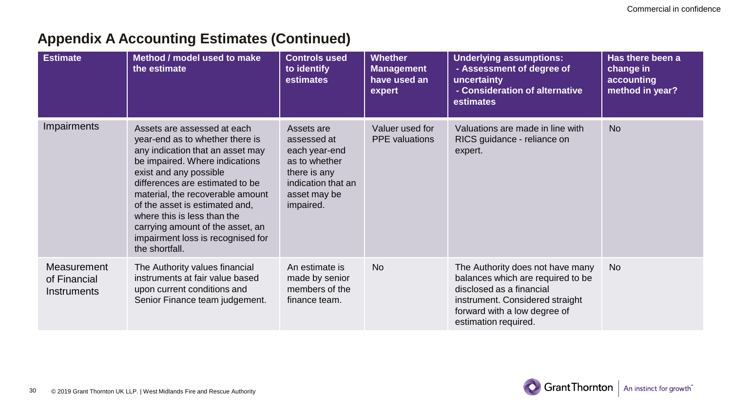| <b>Estimate</b>                            | Method / model used to make<br>the estimate                                                                                                                                                                                                                                                                                                                                                       | <b>Controls used</b><br>to identify<br>estimates                                                                               | <b>Whether</b><br><b>Management</b><br>have used an<br>expert | <b>Underlying assumptions:</b><br>- Assessment of degree of<br>uncertainty<br>- Consideration of alternative<br>estimates                                                                    | Has there been a<br>change in<br>accounting<br>method in year? |
|--------------------------------------------|---------------------------------------------------------------------------------------------------------------------------------------------------------------------------------------------------------------------------------------------------------------------------------------------------------------------------------------------------------------------------------------------------|--------------------------------------------------------------------------------------------------------------------------------|---------------------------------------------------------------|----------------------------------------------------------------------------------------------------------------------------------------------------------------------------------------------|----------------------------------------------------------------|
| Impairments                                | Assets are assessed at each<br>year-end as to whether there is<br>any indication that an asset may<br>be impaired. Where indications<br>exist and any possible<br>differences are estimated to be<br>material, the recoverable amount<br>of the asset is estimated and,<br>where this is less than the<br>carrying amount of the asset, an<br>impairment loss is recognised for<br>the shortfall. | Assets are<br>assessed at<br>each year-end<br>as to whether<br>there is any<br>indication that an<br>asset may be<br>impaired. | Valuer used for<br><b>PPE</b> valuations                      | Valuations are made in line with<br>RICS guidance - reliance on<br>expert.                                                                                                                   | <b>No</b>                                                      |
| Measurement<br>of Financial<br>Instruments | The Authority values financial<br>instruments at fair value based<br>upon current conditions and<br>Senior Finance team judgement.                                                                                                                                                                                                                                                                | An estimate is<br>made by senior<br>members of the<br>finance team.                                                            | <b>No</b>                                                     | The Authority does not have many<br>balances which are required to be<br>disclosed as a financial<br>instrument. Considered straight<br>forward with a low degree of<br>estimation required. | <b>No</b>                                                      |

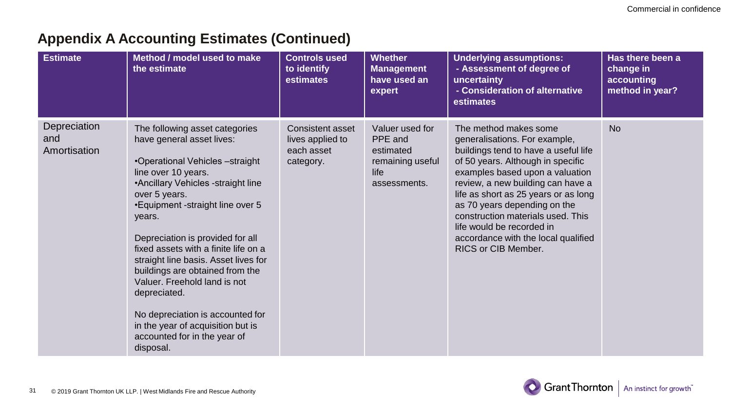| <b>Estimate</b>                     | Method / model used to make<br>the estimate                                                                                                                                                                                                                                                                                                                                                                                                                                                                                                               | <b>Controls used</b><br>to identify<br>estimates                | <b>Whether</b><br><b>Management</b><br>have used an<br>expert                       | <b>Underlying assumptions:</b><br>- Assessment of degree of<br>uncertainty<br>- Consideration of alternative<br>estimates                                                                                                                                                                                                                                                                                           | Has there been a<br>change in<br>accounting<br>method in year? |
|-------------------------------------|-----------------------------------------------------------------------------------------------------------------------------------------------------------------------------------------------------------------------------------------------------------------------------------------------------------------------------------------------------------------------------------------------------------------------------------------------------------------------------------------------------------------------------------------------------------|-----------------------------------------------------------------|-------------------------------------------------------------------------------------|---------------------------------------------------------------------------------------------------------------------------------------------------------------------------------------------------------------------------------------------------------------------------------------------------------------------------------------------------------------------------------------------------------------------|----------------------------------------------------------------|
| Depreciation<br>and<br>Amortisation | The following asset categories<br>have general asset lives:<br>•Operational Vehicles -straight<br>line over 10 years.<br>•Ancillary Vehicles -straight line<br>over 5 years.<br>• Equipment - straight line over 5<br>years.<br>Depreciation is provided for all<br>fixed assets with a finite life on a<br>straight line basis. Asset lives for<br>buildings are obtained from the<br>Valuer. Freehold land is not<br>depreciated.<br>No depreciation is accounted for<br>in the year of acquisition but is<br>accounted for in the year of<br>disposal. | Consistent asset<br>lives applied to<br>each asset<br>category. | Valuer used for<br>PPE and<br>estimated<br>remaining useful<br>life<br>assessments. | The method makes some<br>generalisations. For example,<br>buildings tend to have a useful life<br>of 50 years. Although in specific<br>examples based upon a valuation<br>review, a new building can have a<br>life as short as 25 years or as long<br>as 70 years depending on the<br>construction materials used. This<br>life would be recorded in<br>accordance with the local qualified<br>RICS or CIB Member. | <b>No</b>                                                      |

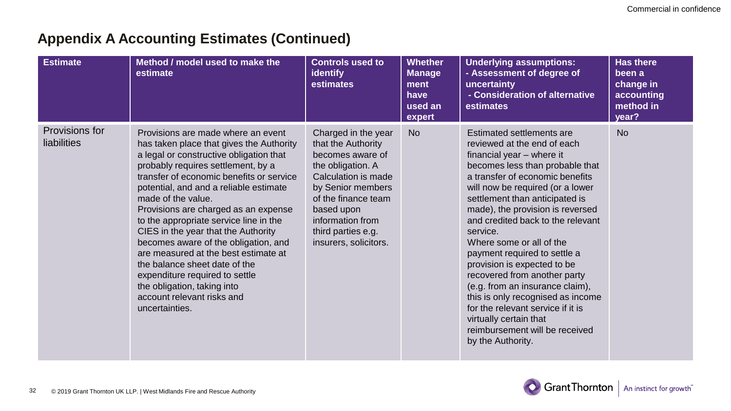| <b>Estimate</b>               | Method / model used to make the<br>estimate                                                                                                                                                                                                                                                                                                                                                                                                                                                                                                                                                                                            | <b>Controls used to</b><br><b>identify</b><br>estimates                                                                                                                                                                                | <b>Whether</b><br><b>Manage</b><br>ment<br>have<br>used an<br>expert | <b>Underlying assumptions:</b><br>- Assessment of degree of<br>uncertainty<br>- Consideration of alternative<br>estimates                                                                                                                                                                                                                                                                                                                                                                                                                                                                                                                       | <b>Has there</b><br>been a<br>change in<br>accounting<br>method in<br>year? |
|-------------------------------|----------------------------------------------------------------------------------------------------------------------------------------------------------------------------------------------------------------------------------------------------------------------------------------------------------------------------------------------------------------------------------------------------------------------------------------------------------------------------------------------------------------------------------------------------------------------------------------------------------------------------------------|----------------------------------------------------------------------------------------------------------------------------------------------------------------------------------------------------------------------------------------|----------------------------------------------------------------------|-------------------------------------------------------------------------------------------------------------------------------------------------------------------------------------------------------------------------------------------------------------------------------------------------------------------------------------------------------------------------------------------------------------------------------------------------------------------------------------------------------------------------------------------------------------------------------------------------------------------------------------------------|-----------------------------------------------------------------------------|
| Provisions for<br>liabilities | Provisions are made where an event<br>has taken place that gives the Authority<br>a legal or constructive obligation that<br>probably requires settlement, by a<br>transfer of economic benefits or service<br>potential, and and a reliable estimate<br>made of the value.<br>Provisions are charged as an expense<br>to the appropriate service line in the<br>CIES in the year that the Authority<br>becomes aware of the obligation, and<br>are measured at the best estimate at<br>the balance sheet date of the<br>expenditure required to settle<br>the obligation, taking into<br>account relevant risks and<br>uncertainties. | Charged in the year<br>that the Authority<br>becomes aware of<br>the obligation. A<br>Calculation is made<br>by Senior members<br>of the finance team<br>based upon<br>information from<br>third parties e.g.<br>insurers, solicitors. | <b>No</b>                                                            | Estimated settlements are<br>reviewed at the end of each<br>financial year - where it<br>becomes less than probable that<br>a transfer of economic benefits<br>will now be required (or a lower<br>settlement than anticipated is<br>made), the provision is reversed<br>and credited back to the relevant<br>service.<br>Where some or all of the<br>payment required to settle a<br>provision is expected to be<br>recovered from another party<br>(e.g. from an insurance claim),<br>this is only recognised as income<br>for the relevant service if it is<br>virtually certain that<br>reimbursement will be received<br>by the Authority. | <b>No</b>                                                                   |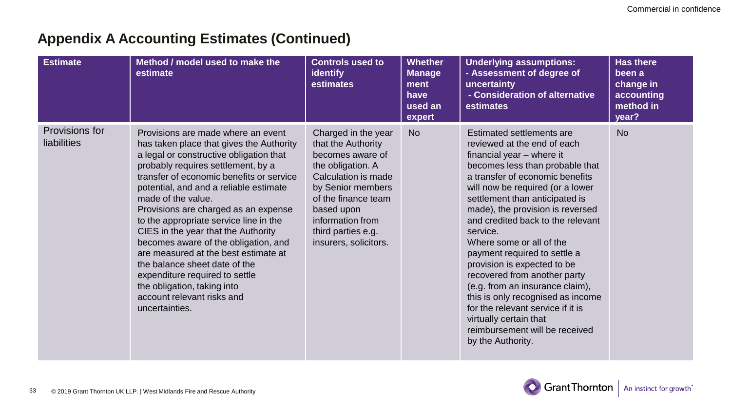| <b>Estimate</b>               | Method / model used to make the<br>estimate                                                                                                                                                                                                                                                                                                                                                                                                                                                                                                                                                                                            | <b>Controls used to</b><br><b>identify</b><br>estimates                                                                                                                                                                                | <b>Whether</b><br><b>Manage</b><br>ment<br>have<br>used an<br>expert | <b>Underlying assumptions:</b><br>- Assessment of degree of<br>uncertainty<br>- Consideration of alternative<br>estimates                                                                                                                                                                                                                                                                                                                                                                                                                                                                                                                       | <b>Has there</b><br>been a<br>change in<br>accounting<br>method in<br>year? |
|-------------------------------|----------------------------------------------------------------------------------------------------------------------------------------------------------------------------------------------------------------------------------------------------------------------------------------------------------------------------------------------------------------------------------------------------------------------------------------------------------------------------------------------------------------------------------------------------------------------------------------------------------------------------------------|----------------------------------------------------------------------------------------------------------------------------------------------------------------------------------------------------------------------------------------|----------------------------------------------------------------------|-------------------------------------------------------------------------------------------------------------------------------------------------------------------------------------------------------------------------------------------------------------------------------------------------------------------------------------------------------------------------------------------------------------------------------------------------------------------------------------------------------------------------------------------------------------------------------------------------------------------------------------------------|-----------------------------------------------------------------------------|
| Provisions for<br>liabilities | Provisions are made where an event<br>has taken place that gives the Authority<br>a legal or constructive obligation that<br>probably requires settlement, by a<br>transfer of economic benefits or service<br>potential, and and a reliable estimate<br>made of the value.<br>Provisions are charged as an expense<br>to the appropriate service line in the<br>CIES in the year that the Authority<br>becomes aware of the obligation, and<br>are measured at the best estimate at<br>the balance sheet date of the<br>expenditure required to settle<br>the obligation, taking into<br>account relevant risks and<br>uncertainties. | Charged in the year<br>that the Authority<br>becomes aware of<br>the obligation. A<br>Calculation is made<br>by Senior members<br>of the finance team<br>based upon<br>information from<br>third parties e.g.<br>insurers, solicitors. | <b>No</b>                                                            | Estimated settlements are<br>reviewed at the end of each<br>financial year - where it<br>becomes less than probable that<br>a transfer of economic benefits<br>will now be required (or a lower<br>settlement than anticipated is<br>made), the provision is reversed<br>and credited back to the relevant<br>service.<br>Where some or all of the<br>payment required to settle a<br>provision is expected to be<br>recovered from another party<br>(e.g. from an insurance claim),<br>this is only recognised as income<br>for the relevant service if it is<br>virtually certain that<br>reimbursement will be received<br>by the Authority. | <b>No</b>                                                                   |

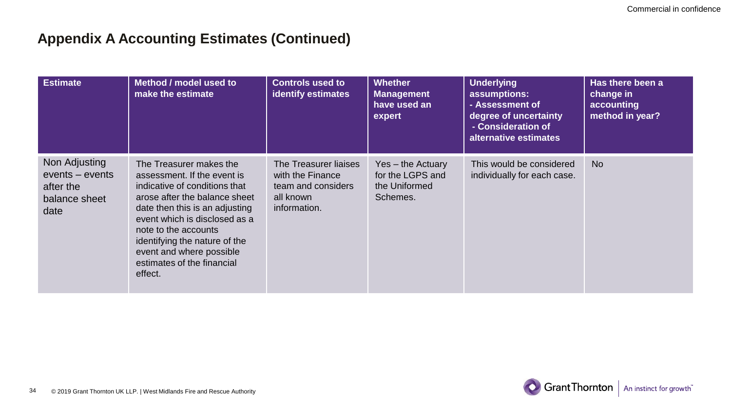| <b>Estimate</b>                                                        | Method / model used to<br>make the estimate                                                                                                                                                                                                                                                                               | <b>Controls used to</b><br><b>identify estimates</b>                                         | <b>Whether</b><br><b>Management</b><br>have used an<br>expert      | <b>Underlying</b><br>assumptions:<br>- Assessment of<br>degree of uncertainty<br>- Consideration of<br>alternative estimates | Has there been a<br>change in<br>accounting<br>method in year? |
|------------------------------------------------------------------------|---------------------------------------------------------------------------------------------------------------------------------------------------------------------------------------------------------------------------------------------------------------------------------------------------------------------------|----------------------------------------------------------------------------------------------|--------------------------------------------------------------------|------------------------------------------------------------------------------------------------------------------------------|----------------------------------------------------------------|
| Non Adjusting<br>events – events<br>after the<br>balance sheet<br>date | The Treasurer makes the<br>assessment. If the event is<br>indicative of conditions that<br>arose after the balance sheet<br>date then this is an adjusting<br>event which is disclosed as a<br>note to the accounts<br>identifying the nature of the<br>event and where possible<br>estimates of the financial<br>effect. | The Treasurer liaises<br>with the Finance<br>team and considers<br>all known<br>information. | Yes - the Actuary<br>for the LGPS and<br>the Uniformed<br>Schemes. | This would be considered<br>individually for each case.                                                                      | <b>No</b>                                                      |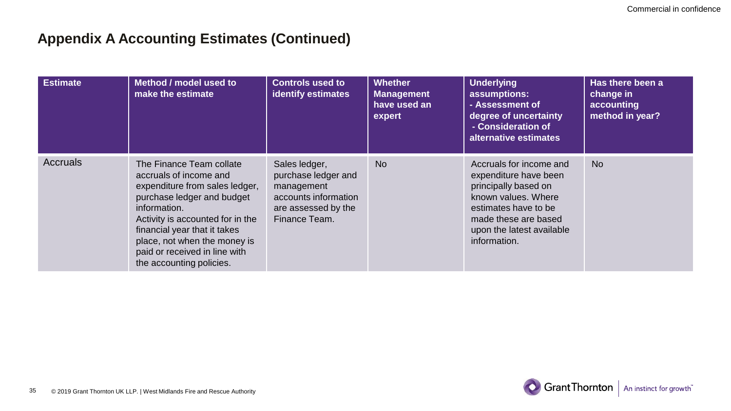| <b>Estimate</b> | Method / model used to<br>make the estimate                                                                                                                                                                                                                                                         | <b>Controls used to</b><br>identify estimates                                                                      | <b>Whether</b><br><b>Management</b><br>have used an<br>expert | <b>Underlying</b><br>assumptions:<br>- Assessment of<br>degree of uncertainty<br>- Consideration of<br>alternative estimates                                                                 | Has there been a<br>change in<br>accounting<br>method in year? |
|-----------------|-----------------------------------------------------------------------------------------------------------------------------------------------------------------------------------------------------------------------------------------------------------------------------------------------------|--------------------------------------------------------------------------------------------------------------------|---------------------------------------------------------------|----------------------------------------------------------------------------------------------------------------------------------------------------------------------------------------------|----------------------------------------------------------------|
| Accruals        | The Finance Team collate<br>accruals of income and<br>expenditure from sales ledger,<br>purchase ledger and budget<br>information.<br>Activity is accounted for in the<br>financial year that it takes<br>place, not when the money is<br>paid or received in line with<br>the accounting policies. | Sales ledger,<br>purchase ledger and<br>management<br>accounts information<br>are assessed by the<br>Finance Team. | <b>No</b>                                                     | Accruals for income and<br>expenditure have been<br>principally based on<br>known values. Where<br>estimates have to be<br>made these are based<br>upon the latest available<br>information. | <b>No</b>                                                      |

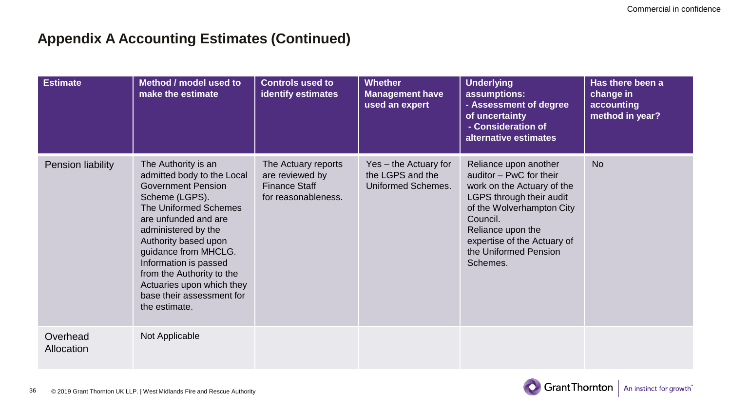| <b>Estimate</b>        | Method / model used to<br>make the estimate                                                                                                                                                                                                                                                                                                               | <b>Controls used to</b><br>identify estimates                                         | <b>Whether</b><br><b>Management have</b><br>used an expert      | <b>Underlying</b><br>assumptions:<br>- Assessment of degree<br>of uncertainty<br>- Consideration of<br>alternative estimates                                                                                                                 | Has there been a<br>change in<br>accounting<br>method in year? |
|------------------------|-----------------------------------------------------------------------------------------------------------------------------------------------------------------------------------------------------------------------------------------------------------------------------------------------------------------------------------------------------------|---------------------------------------------------------------------------------------|-----------------------------------------------------------------|----------------------------------------------------------------------------------------------------------------------------------------------------------------------------------------------------------------------------------------------|----------------------------------------------------------------|
| Pension liability      | The Authority is an<br>admitted body to the Local<br><b>Government Pension</b><br>Scheme (LGPS).<br>The Uniformed Schemes<br>are unfunded and are<br>administered by the<br>Authority based upon<br>guidance from MHCLG.<br>Information is passed<br>from the Authority to the<br>Actuaries upon which they<br>base their assessment for<br>the estimate. | The Actuary reports<br>are reviewed by<br><b>Finance Staff</b><br>for reasonableness. | Yes - the Actuary for<br>the LGPS and the<br>Uniformed Schemes. | Reliance upon another<br>auditor - PwC for their<br>work on the Actuary of the<br>LGPS through their audit<br>of the Wolverhampton City<br>Council.<br>Reliance upon the<br>expertise of the Actuary of<br>the Uniformed Pension<br>Schemes. | <b>No</b>                                                      |
| Overhead<br>Allocation | Not Applicable                                                                                                                                                                                                                                                                                                                                            |                                                                                       |                                                                 |                                                                                                                                                                                                                                              |                                                                |